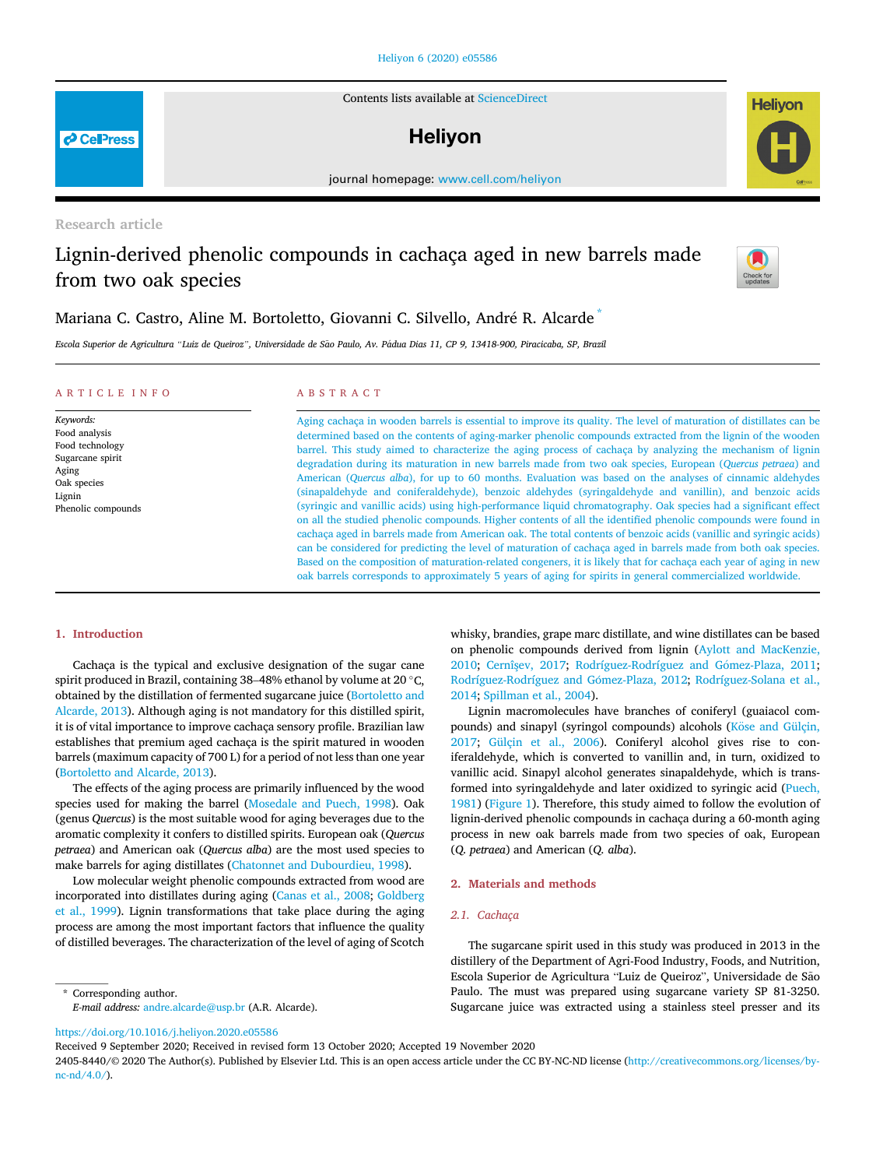Contents lists available at [ScienceDirect](www.sciencedirect.com/science/journal/24058440)

# **Helivon**

journal homepage: [www.cell.com/heliyon](http://www.cell.com/heliyon)

Research article

# Lignin-derived phenolic compounds in cachaça aged in new barrels made from two oak species

Mariana C. Castro, Aline M. Bortoletto, Giovanni C. Silvello, Andre R. Alcarde [\\*](#page-0-0)

Escola Superior de Agricultura "Luiz de Queiroz", Universidade de São Paulo, Av. Pádua Dias 11, CP 9, 13418-900, Piracicaba, SP, Brazil

#### ARTICLE INFO

Keywords: Food analysis Food technology Sugarcane spirit Aging Oak species Lignin Phenolic compounds

### ABSTRACT

Aging cachaça in wooden barrels is essential to improve its quality. The level of maturation of distillates can be determined based on the contents of aging-marker phenolic compounds extracted from the lignin of the wooden barrel. This study aimed to characterize the aging process of cachaça by analyzing the mechanism of lignin degradation during its maturation in new barrels made from two oak species, European (Quercus petraea) and American (Quercus alba), for up to 60 months. Evaluation was based on the analyses of cinnamic aldehydes (sinapaldehyde and coniferaldehyde), benzoic aldehydes (syringaldehyde and vanillin), and benzoic acids (syringic and vanillic acids) using high-performance liquid chromatography. Oak species had a significant effect on all the studied phenolic compounds. Higher contents of all the identified phenolic compounds were found in cachaça aged in barrels made from American oak. The total contents of benzoic acids (vanillic and syringic acids) can be considered for predicting the level of maturation of cachaça aged in barrels made from both oak species. Based on the composition of maturation-related congeners, it is likely that for cachaça each year of aging in new oak barrels corresponds to approximately 5 years of aging for spirits in general commercialized worldwide.

[2014;](#page-6-9) [Spillman et al., 2004\)](#page-6-10).

(Q. petraea) and American (Q. alba).

2. Materials and methods

2.1. Cachaça

whisky, brandies, grape marc distillate, and wine distillates can be based on phenolic compounds derived from lignin [\(Aylott and MacKenzie,](#page-6-5) [2010;](#page-6-5) Cernîş[ev, 2017](#page-6-6); Rodríguez-Rodríguez and Gómez-Plaza, 2011; Rodríguez-Rodríguez and Gómez-Plaza, 2012; [Rodríguez-Solana et al.,](#page-6-9)

Lignin macromolecules have branches of coniferyl (guaiacol compounds) and sinapyl (syringol compounds) alcohols (Köse and Gülçin, [2017;](#page-6-11) [Gülçin et al., 2006\)](#page-6-12). Coniferyl alcohol gives rise to coniferaldehyde, which is converted to vanillin and, in turn, oxidized to vanillic acid. Sinapyl alcohol generates sinapaldehyde, which is transformed into syringaldehyde and later oxidized to syringic acid [\(Puech,](#page-6-13) [1981\)](#page-6-13) ([Figure 1\)](#page-1-0). Therefore, this study aimed to follow the evolution of lignin-derived phenolic compounds in cachaça during a 60-month aging process in new oak barrels made from two species of oak, European

The sugarcane spirit used in this study was produced in 2013 in the distillery of the Department of Agri-Food Industry, Foods, and Nutrition, Escola Superior de Agricultura "Luiz de Queiroz", Universidade de São Paulo. The must was prepared using sugarcane variety SP 81-3250. Sugarcane juice was extracted using a stainless steel presser and its

## 1. Introduction

Cachaça is the typical and exclusive designation of the sugar cane spirit produced in Brazil, containing 38-48% ethanol by volume at 20 °C, obtained by the distillation of fermented sugarcane juice ([Bortoletto and](#page-6-0) [Alcarde, 2013\)](#page-6-0). Although aging is not mandatory for this distilled spirit, it is of vital importance to improve cachaça sensory profile. Brazilian law establishes that premium aged cachaça is the spirit matured in wooden barrels (maximum capacity of 700 L) for a period of not less than one year ([Bortoletto and Alcarde, 2013](#page-6-0)).

The effects of the aging process are primarily influenced by the wood species used for making the barrel [\(Mosedale and Puech, 1998](#page-6-1)). Oak (genus Quercus) is the most suitable wood for aging beverages due to the aromatic complexity it confers to distilled spirits. European oak (Quercus petraea) and American oak (Quercus alba) are the most used species to make barrels for aging distillates ([Chatonnet and Dubourdieu, 1998](#page-6-2)).

Low molecular weight phenolic compounds extracted from wood are incorporated into distillates during aging [\(Canas et al., 2008;](#page-6-3) [Goldberg](#page-6-4) [et al., 1999](#page-6-4)). Lignin transformations that take place during the aging process are among the most important factors that influence the quality of distilled beverages. The characterization of the level of aging of Scotch

<span id="page-0-0"></span>\* Corresponding author. E-mail address: [andre.alcarde@usp.br](mailto:andre.alcarde@usp.br) (A.R. Alcarde).

<https://doi.org/10.1016/j.heliyon.2020.e05586>

Received 9 September 2020; Received in revised form 13 October 2020; Accepted 19 November 2020





**P** CellPress

<sup>2405-8440/</sup>© 2020 The Author(s). Published by Elsevier Ltd. This is an open access article under the CC BY-NC-ND license [\(http://creativecommons.org/licenses/by](http://creativecommons.org/licenses/by-nc-nd/4.0/) $nc-nd/4.0/$ ).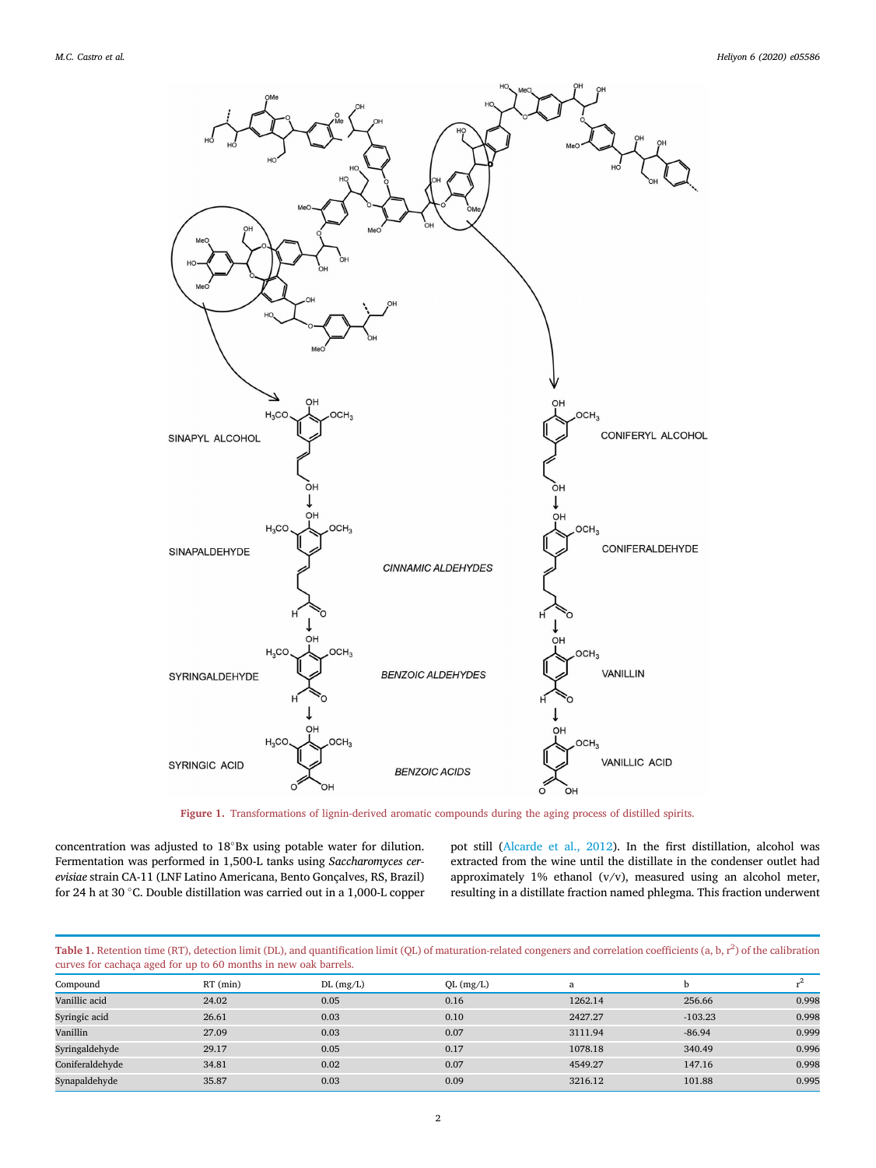<span id="page-1-0"></span>

Figure 1. Transformations of lignin-derived aromatic compounds during the aging process of distilled spirits.

concentration was adjusted to  $18^{\circ}$ Bx using potable water for dilution. Fermentation was performed in 1,500-L tanks using Saccharomyces cerevisiae strain CA-11 (LNF Latino Americana, Bento Gonçalves, RS, Brazil) for 24 h at 30  $^{\circ}$ C. Double distillation was carried out in a 1,000-L copper pot still [\(Alcarde et al., 2012\)](#page-6-14). In the first distillation, alcohol was extracted from the wine until the distillate in the condenser outlet had approximately 1% ethanol (v/v), measured using an alcohol meter, resulting in a distillate fraction named phlegma. This fraction underwent

<span id="page-1-1"></span>Table 1. Retention time (RT), detection limit (DL), and quantification limit (QL) of maturation-related congeners and correlation coefficients (a, b,  $r^2$ ) of the calibration curves for cachaça aged for up to 60 months in new oak barrels.

| $\sim$          |            |                 |           |         |           |       |
|-----------------|------------|-----------------|-----------|---------|-----------|-------|
| Compound        | $RT$ (min) | $DL$ (mg/ $L$ ) | QL (mg/L) | a       | b         |       |
| Vanillic acid   | 24.02      | 0.05            | 0.16      | 1262.14 | 256.66    | 0.998 |
| Syringic acid   | 26.61      | 0.03            | 0.10      | 2427.27 | $-103.23$ | 0.998 |
| Vanillin        | 27.09      | 0.03            | 0.07      | 3111.94 | $-86.94$  | 0.999 |
| Syringaldehyde  | 29.17      | 0.05            | 0.17      | 1078.18 | 340.49    | 0.996 |
| Coniferaldehyde | 34.81      | 0.02            | 0.07      | 4549.27 | 147.16    | 0.998 |
| Synapaldehyde   | 35.87      | 0.03            | 0.09      | 3216.12 | 101.88    | 0.995 |
|                 |            |                 |           |         |           |       |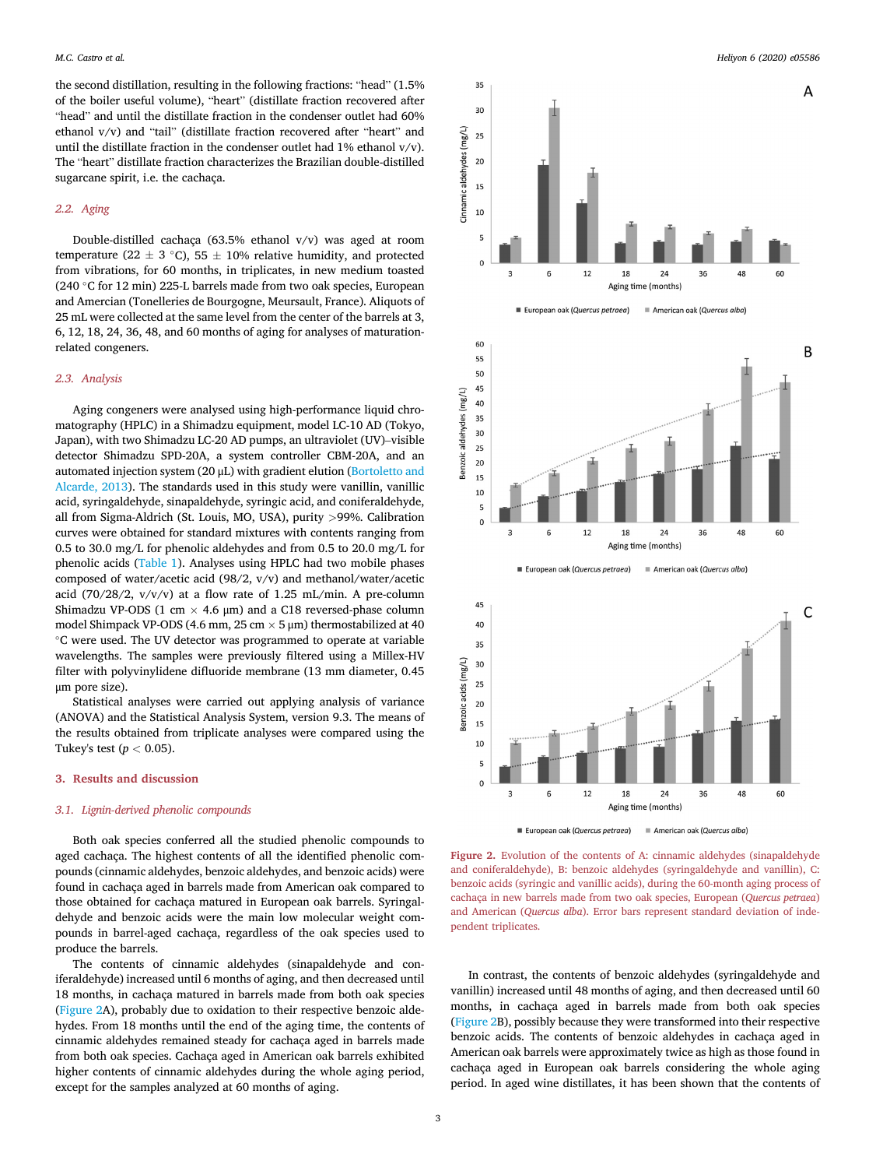the second distillation, resulting in the following fractions: "head" (1.5% of the boiler useful volume), "heart" (distillate fraction recovered after "head" and until the distillate fraction in the condenser outlet had 60% ethanol v/v) and "tail" (distillate fraction recovered after "heart" and until the distillate fraction in the condenser outlet had  $1\%$  ethanol  $v/v$ ). The "heart" distillate fraction characterizes the Brazilian double-distilled sugarcane spirit, i.e. the cachaça.

## 2.2. Aging

Double-distilled cachaça (63.5% ethanol v/v) was aged at room temperature (22  $\pm$  3 °C), 55  $\pm$  10% relative humidity, and protected from vibrations, for 60 months, in triplicates, in new medium toasted (240 °C for 12 min) 225-L barrels made from two oak species, European and Amercian (Tonelleries de Bourgogne, Meursault, France). Aliquots of 25 mL were collected at the same level from the center of the barrels at 3, 6, 12, 18, 24, 36, 48, and 60 months of aging for analyses of maturationrelated congeners.

## 2.3. Analysis

Aging congeners were analysed using high-performance liquid chromatography (HPLC) in a Shimadzu equipment, model LC-10 AD (Tokyo, Japan), with two Shimadzu LC-20 AD pumps, an ultraviolet (UV)–visible detector Shimadzu SPD-20A, a system controller CBM-20A, and an automated injection system (20 μL) with gradient elution ([Bortoletto and](#page-6-0) [Alcarde, 2013\)](#page-6-0). The standards used in this study were vanillin, vanillic acid, syringaldehyde, sinapaldehyde, syringic acid, and coniferaldehyde, all from Sigma-Aldrich (St. Louis, MO, USA), purity >99%. Calibration curves were obtained for standard mixtures with contents ranging from 0.5 to 30.0 mg/L for phenolic aldehydes and from 0.5 to 20.0 mg/L for phenolic acids [\(Table 1\)](#page-1-1). Analyses using HPLC had two mobile phases composed of water/acetic acid (98/2, v/v) and methanol/water/acetic acid (70/28/2, v/v/v) at a flow rate of 1.25 mL/min. A pre-column Shimadzu VP-ODS (1 cm  $\times$  4.6 µm) and a C18 reversed-phase column model Shimpack VP-ODS (4.6 mm, 25 cm  $\times$  5 µm) thermostabilized at 40 C were used. The UV detector was programmed to operate at variable wavelengths. The samples were previously filtered using a Millex-HV filter with polyvinylidene difluoride membrane (13 mm diameter, 0.45 μm pore size).

Statistical analyses were carried out applying analysis of variance (ANOVA) and the Statistical Analysis System, version 9.3. The means of the results obtained from triplicate analyses were compared using the Tukey's test ( $p < 0.05$ ).

## 3. Results and discussion

## 3.1. Lignin-derived phenolic compounds

Both oak species conferred all the studied phenolic compounds to aged cachaça. The highest contents of all the identified phenolic compounds (cinnamic aldehydes, benzoic aldehydes, and benzoic acids) were found in cachaça aged in barrels made from American oak compared to those obtained for cachaça matured in European oak barrels. Syringaldehyde and benzoic acids were the main low molecular weight compounds in barrel-aged cachaça, regardless of the oak species used to produce the barrels.

The contents of cinnamic aldehydes (sinapaldehyde and coniferaldehyde) increased until 6 months of aging, and then decreased until 18 months, in cachaça matured in barrels made from both oak species ([Figure 2A](#page-2-0)), probably due to oxidation to their respective benzoic aldehydes. From 18 months until the end of the aging time, the contents of cinnamic aldehydes remained steady for cachaça aged in barrels made from both oak species. Cachaça aged in American oak barrels exhibited higher contents of cinnamic aldehydes during the whole aging period, except for the samples analyzed at 60 months of aging.

<span id="page-2-0"></span>

Figure 2. Evolution of the contents of A: cinnamic aldehydes (sinapaldehyde and coniferaldehyde), B: benzoic aldehydes (syringaldehyde and vanillin), C: benzoic acids (syringic and vanillic acids), during the 60-month aging process of cachaça in new barrels made from two oak species, European (Quercus petraea) and American (Quercus alba). Error bars represent standard deviation of independent triplicates.

In contrast, the contents of benzoic aldehydes (syringaldehyde and vanillin) increased until 48 months of aging, and then decreased until 60 months, in cachaça aged in barrels made from both oak species ([Figure 2](#page-2-0)B), possibly because they were transformed into their respective benzoic acids. The contents of benzoic aldehydes in cachaça aged in American oak barrels were approximately twice as high as those found in cachaça aged in European oak barrels considering the whole aging period. In aged wine distillates, it has been shown that the contents of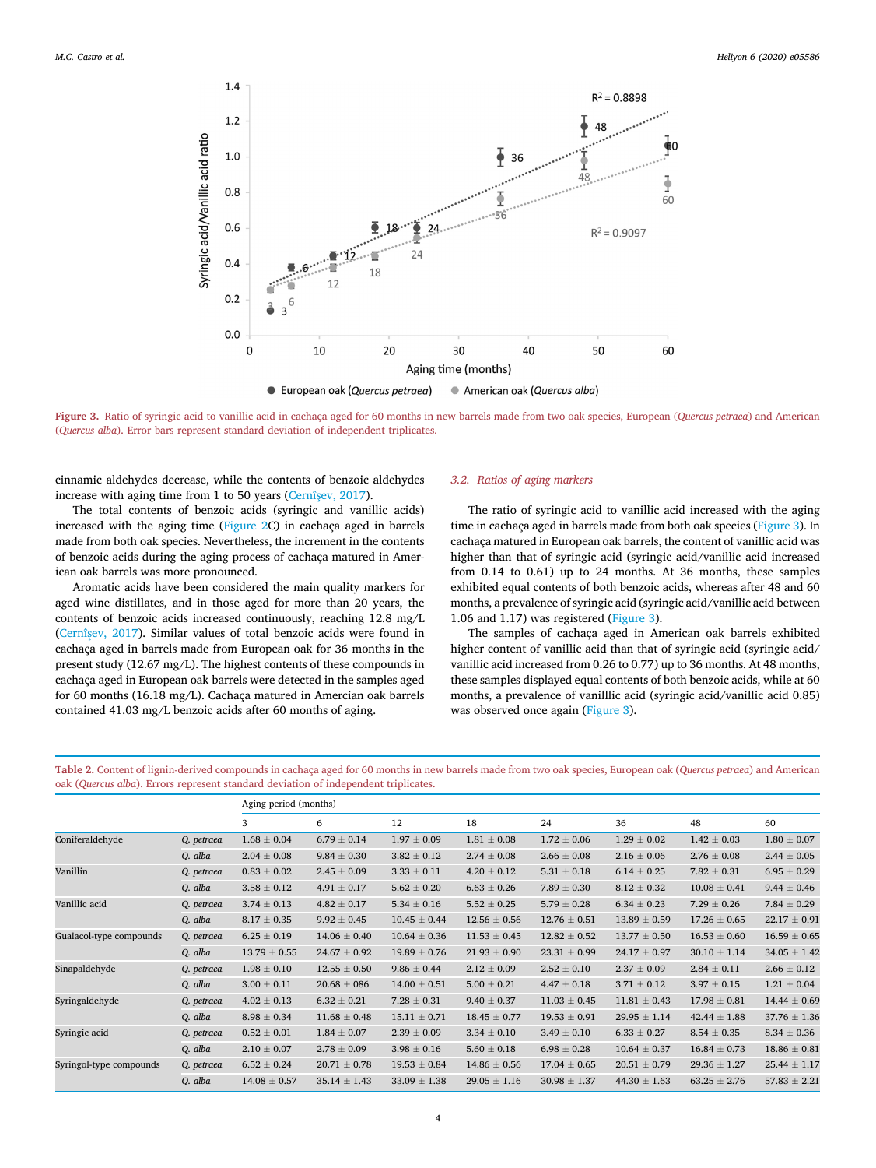<span id="page-3-0"></span>

Figure 3. Ratio of syringic acid to vanillic acid in cachaça aged for 60 months in new barrels made from two oak species, European (Quercus petraea) and American (Quercus alba). Error bars represent standard deviation of independent triplicates.

cinnamic aldehydes decrease, while the contents of benzoic aldehydes increase with aging time from 1 to 50 years (Cernîş[ev, 2017\)](#page-6-6).

The total contents of benzoic acids (syringic and vanillic acids) increased with the aging time [\(Figure 2](#page-2-0)C) in cachaça aged in barrels made from both oak species. Nevertheless, the increment in the contents of benzoic acids during the aging process of cachaça matured in American oak barrels was more pronounced.

Aromatic acids have been considered the main quality markers for aged wine distillates, and in those aged for more than 20 years, the contents of benzoic acids increased continuously, reaching 12.8 mg/L ([Cernî](#page-6-6)s[ev, 2017](#page-6-6)). Similar values of total benzoic acids were found in cachaça aged in barrels made from European oak for 36 months in the present study (12.67 mg/L). The highest contents of these compounds in cachaça aged in European oak barrels were detected in the samples aged for 60 months (16.18 mg/L). Cachaça matured in Amercian oak barrels contained 41.03 mg/L benzoic acids after 60 months of aging.

#### 3.2. Ratios of aging markers

The ratio of syringic acid to vanillic acid increased with the aging time in cachaça aged in barrels made from both oak species [\(Figure 3\)](#page-3-0). In cachaça matured in European oak barrels, the content of vanillic acid was higher than that of syringic acid (syringic acid/vanillic acid increased from 0.14 to 0.61) up to 24 months. At 36 months, these samples exhibited equal contents of both benzoic acids, whereas after 48 and 60 months, a prevalence of syringic acid (syringic acid/vanillic acid between 1.06 and 1.17) was registered [\(Figure 3\)](#page-3-0).

The samples of cachaça aged in American oak barrels exhibited higher content of vanillic acid than that of syringic acid (syringic acid/ vanillic acid increased from 0.26 to 0.77) up to 36 months. At 48 months, these samples displayed equal contents of both benzoic acids, while at 60 months, a prevalence of vanilllic acid (syringic acid/vanillic acid 0.85) was observed once again [\(Figure 3](#page-3-0)).

<span id="page-3-1"></span>Table 2. Content of lignin-derived compounds in cachaça aged for 60 months in new barrels made from two oak species, European oak (Quercus petraea) and American oak (Quercus alba). Errors represent standard deviation of independent triplicates.

|                         |            | Aging period (months) |                  |                  |                  |                  |                  |                  |                  |
|-------------------------|------------|-----------------------|------------------|------------------|------------------|------------------|------------------|------------------|------------------|
|                         |            | 3                     | 6                | 12               | 18               | 24               | 36               | 48               | 60               |
| Coniferaldehyde         | Q. petraea | $1.68 \pm 0.04$       | $6.79 \pm 0.14$  | $1.97 \pm 0.09$  | $1.81 \pm 0.08$  | $1.72 \pm 0.06$  | $1.29 \pm 0.02$  | $1.42 \pm 0.03$  | $1.80 \pm 0.07$  |
|                         | Q. alba    | $2.04 \pm 0.08$       | $9.84 \pm 0.30$  | $3.82 \pm 0.12$  | $2.74 \pm 0.08$  | $2.66 \pm 0.08$  | $2.16 \pm 0.06$  | $2.76 \pm 0.08$  | $2.44 \pm 0.05$  |
| Vanillin                | Q. petraea | $0.83 \pm 0.02$       | $2.45 \pm 0.09$  | $3.33 \pm 0.11$  | $4.20 \pm 0.12$  | $5.31 \pm 0.18$  | $6.14 \pm 0.25$  | $7.82 \pm 0.31$  | $6.95 \pm 0.29$  |
|                         | Q. alba    | $3.58 \pm 0.12$       | $4.91 \pm 0.17$  | $5.62 \pm 0.20$  | $6.63 \pm 0.26$  | $7.89 \pm 0.30$  | $8.12 \pm 0.32$  | $10.08 \pm 0.41$ | $9.44 \pm 0.46$  |
| Vanillic acid           | Q. petraea | $3.74 \pm 0.13$       | $4.82 \pm 0.17$  | $5.34 \pm 0.16$  | $5.52 \pm 0.25$  | $5.79 \pm 0.28$  | $6.34 \pm 0.23$  | $7.29 \pm 0.26$  | $7.84 \pm 0.29$  |
|                         | Q. alba    | $8.17 \pm 0.35$       | $9.92 \pm 0.45$  | $10.45 \pm 0.44$ | $12.56 \pm 0.56$ | $12.76 \pm 0.51$ | $13.89 \pm 0.59$ | $17.26 \pm 0.65$ | $22.17 \pm 0.91$ |
| Guaiacol-type compounds | Q. petraea | $6.25 \pm 0.19$       | $14.06 \pm 0.40$ | $10.64 \pm 0.36$ | $11.53 \pm 0.45$ | $12.82 \pm 0.52$ | $13.77 \pm 0.50$ | $16.53 \pm 0.60$ | $16.59 \pm 0.65$ |
|                         | Q. alba    | $13.79 \pm 0.55$      | $24.67 \pm 0.92$ | $19.89 \pm 0.76$ | $21.93 \pm 0.90$ | $23.31 \pm 0.99$ | $24.17 \pm 0.97$ | $30.10 \pm 1.14$ | $34.05 \pm 1.42$ |
| Sinapaldehyde           | Q. petraea | $1.98 \pm 0.10$       | $12.55 \pm 0.50$ | $9.86 \pm 0.44$  | $2.12 \pm 0.09$  | $2.52 \pm 0.10$  | $2.37 \pm 0.09$  | $2.84 \pm 0.11$  | $2.66 \pm 0.12$  |
|                         | Q. alba    | $3.00 \pm 0.11$       | $20.68 \pm 086$  | $14.00 \pm 0.51$ | $5.00 \pm 0.21$  | $4.47 \pm 0.18$  | $3.71 \pm 0.12$  | $3.97 \pm 0.15$  | $1.21 \pm 0.04$  |
| Syringaldehyde          | Q. petraea | $4.02 \pm 0.13$       | $6.32 \pm 0.21$  | $7.28 \pm 0.31$  | $9.40 \pm 0.37$  | $11.03 \pm 0.45$ | $11.81 \pm 0.43$ | $17.98 \pm 0.81$ | $14.44 \pm 0.69$ |
|                         | Q. alba    | $8.98 \pm 0.34$       | $11.68 \pm 0.48$ | $15.11 \pm 0.71$ | $18.45 \pm 0.77$ | $19.53 \pm 0.91$ | $29.95 \pm 1.14$ | $42.44 \pm 1.88$ | $37.76 \pm 1.36$ |
| Syringic acid           | Q. petraea | $0.52 \pm 0.01$       | $1.84 \pm 0.07$  | $2.39 \pm 0.09$  | $3.34 \pm 0.10$  | $3.49 \pm 0.10$  | $6.33 \pm 0.27$  | $8.54 \pm 0.35$  | $8.34 \pm 0.36$  |
|                         | Q. alba    | $2.10 \pm 0.07$       | $2.78 \pm 0.09$  | $3.98 \pm 0.16$  | $5.60 \pm 0.18$  | $6.98 \pm 0.28$  | $10.64 \pm 0.37$ | $16.84 \pm 0.73$ | $18.86 \pm 0.81$ |
| Syringol-type compounds | Q. petraea | $6.52 \pm 0.24$       | $20.71 \pm 0.78$ | $19.53 \pm 0.84$ | $14.86 \pm 0.56$ | $17.04 \pm 0.65$ | $20.51 \pm 0.79$ | $29.36 \pm 1.27$ | $25.44 \pm 1.17$ |
|                         | Q. alba    | $14.08 \pm 0.57$      | $35.14 \pm 1.43$ | $33.09 \pm 1.38$ | $29.05 \pm 1.16$ | $30.98 \pm 1.37$ | $44.30 \pm 1.63$ | $63.25 \pm 2.76$ | $57.83 \pm 2.21$ |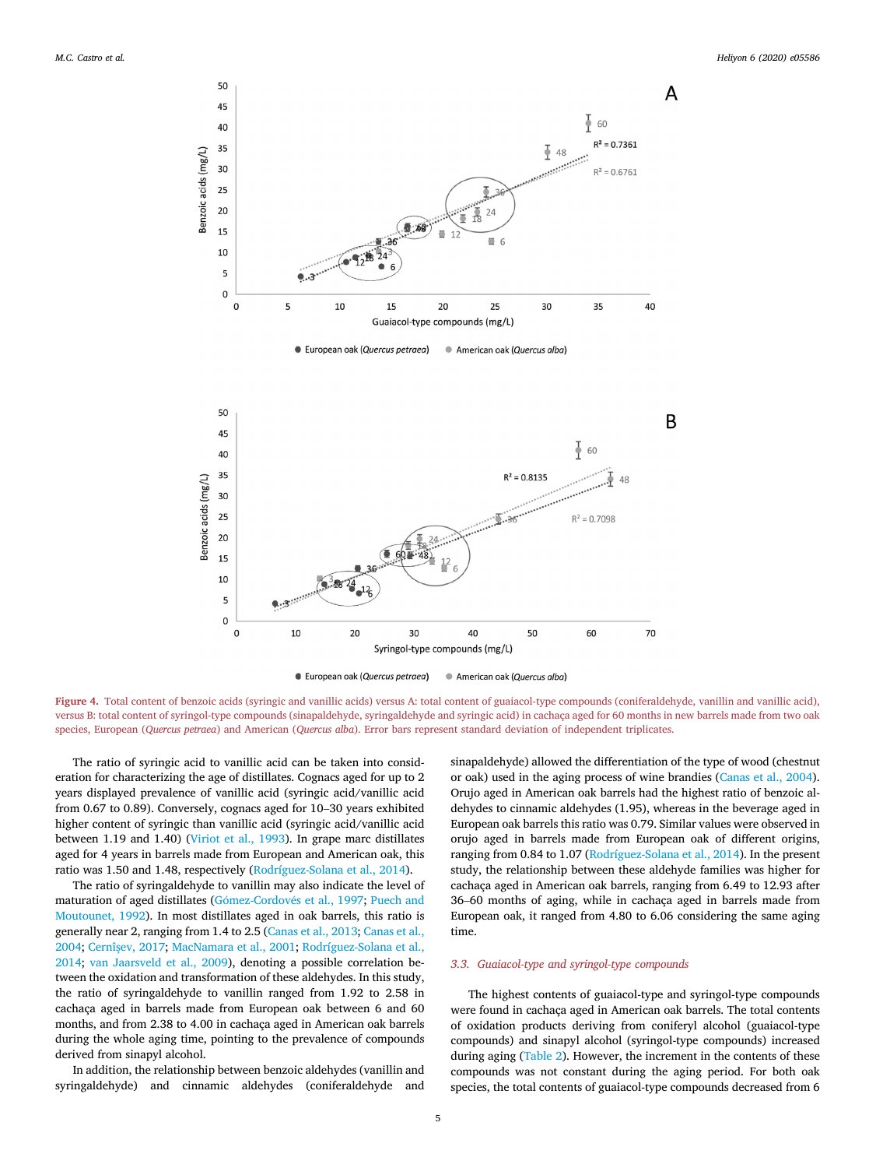<span id="page-4-0"></span>

Figure 4. Total content of benzoic acids (syringic and vanillic acids) versus A: total content of guaiacol-type compounds (coniferaldehyde, vanillin and vanillic acid), versus B: total content of syringol-type compounds (sinapaldehyde, syringaldehyde and syringic acid) in cachaça aged for 60 months in new barrels made from two oak species, European (Quercus petraea) and American (Quercus alba). Error bars represent standard deviation of independent triplicates.

The ratio of syringic acid to vanillic acid can be taken into consideration for characterizing the age of distillates. Cognacs aged for up to 2 years displayed prevalence of vanillic acid (syringic acid/vanillic acid from 0.67 to 0.89). Conversely, cognacs aged for 10–30 years exhibited higher content of syringic than vanillic acid (syringic acid/vanillic acid between 1.19 and 1.40) [\(Viriot et al., 1993\)](#page-6-15). In grape marc distillates aged for 4 years in barrels made from European and American oak, this ratio was 1.50 and 1.48, respectively [\(Rodríguez-Solana et al., 2014\)](#page-6-9).

The ratio of syringaldehyde to vanillin may also indicate the level of maturation of aged distillates (Gómez-Cordové[s et al., 1997](#page-6-16); [Puech and](#page-6-17) [Moutounet, 1992\)](#page-6-17). In most distillates aged in oak barrels, this ratio is generally near 2, ranging from 1.4 to 2.5 [\(Canas et al., 2013](#page-6-18); [Canas et al.,](#page-6-19) [2004;](#page-6-19) [Cernîs](#page-6-6)[ev, 2017](#page-6-6); [MacNamara et al., 2001](#page-6-20); [Rodríguez-Solana et al.,](#page-6-9) [2014;](#page-6-9) [van Jaarsveld et al., 2009\)](#page-6-21), denoting a possible correlation between the oxidation and transformation of these aldehydes. In this study, the ratio of syringaldehyde to vanillin ranged from 1.92 to 2.58 in cachaça aged in barrels made from European oak between 6 and 60 months, and from 2.38 to 4.00 in cachaça aged in American oak barrels during the whole aging time, pointing to the prevalence of compounds derived from sinapyl alcohol.

In addition, the relationship between benzoic aldehydes (vanillin and syringaldehyde) and cinnamic aldehydes (coniferaldehyde and sinapaldehyde) allowed the differentiation of the type of wood (chestnut or oak) used in the aging process of wine brandies ([Canas et al., 2004\)](#page-6-19). Orujo aged in American oak barrels had the highest ratio of benzoic aldehydes to cinnamic aldehydes (1.95), whereas in the beverage aged in European oak barrels this ratio was 0.79. Similar values were observed in orujo aged in barrels made from European oak of different origins, ranging from 0.84 to 1.07 ([Rodríguez-Solana et al., 2014\)](#page-6-9). In the present study, the relationship between these aldehyde families was higher for cachaça aged in American oak barrels, ranging from 6.49 to 12.93 after <sup>36</sup>–60 months of aging, while in cachaça aged in barrels made from European oak, it ranged from 4.80 to 6.06 considering the same aging time.

### 3.3. Guaiacol-type and syringol-type compounds

The highest contents of guaiacol-type and syringol-type compounds were found in cachaça aged in American oak barrels. The total contents of oxidation products deriving from coniferyl alcohol (guaiacol-type compounds) and sinapyl alcohol (syringol-type compounds) increased during aging [\(Table 2](#page-3-1)). However, the increment in the contents of these compounds was not constant during the aging period. For both oak species, the total contents of guaiacol-type compounds decreased from 6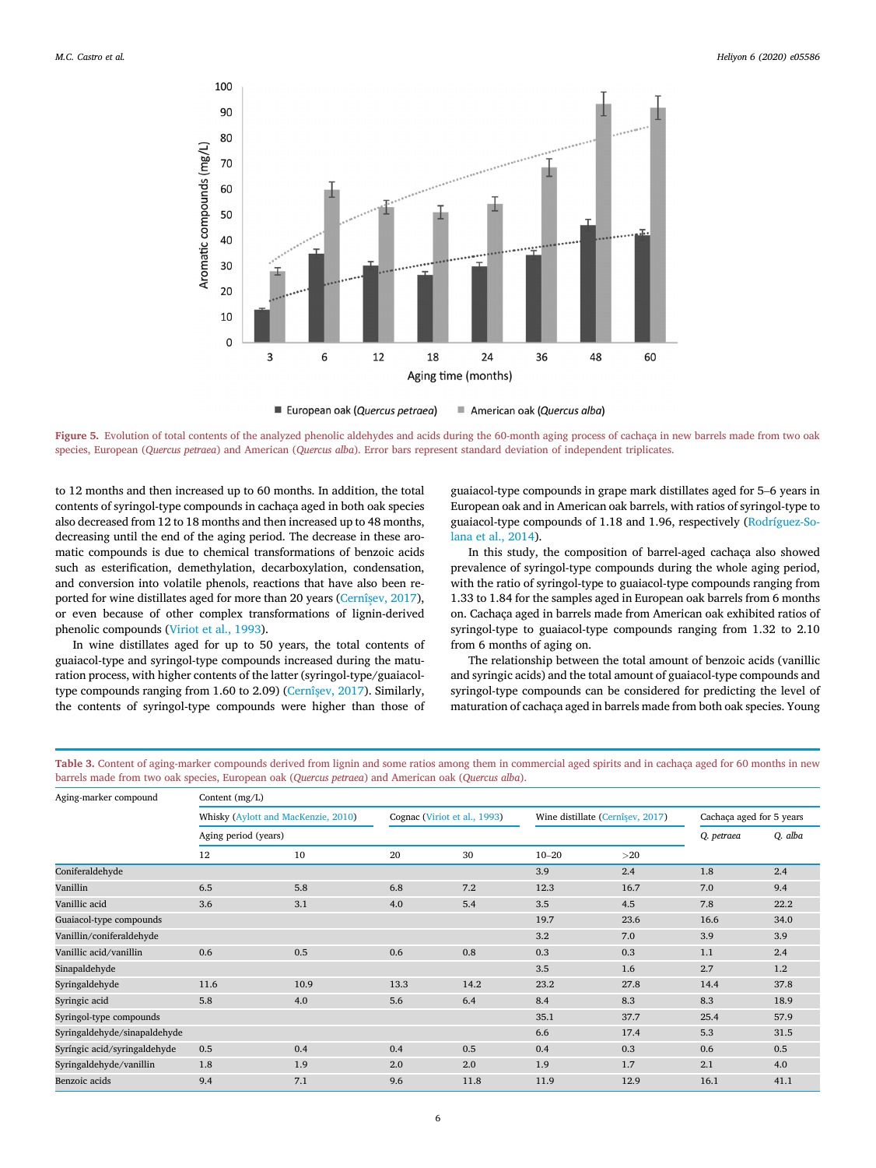<span id="page-5-0"></span>

■ European oak (Quercus petraea) American oak (Quercus alba)

Figure 5. Evolution of total contents of the analyzed phenolic aldehydes and acids during the 60-month aging process of cachaça in new barrels made from two oak species, European (Quercus petraea) and American (Quercus alba). Error bars represent standard deviation of independent triplicates.

to 12 months and then increased up to 60 months. In addition, the total contents of syringol-type compounds in cachaça aged in both oak species also decreased from 12 to 18 months and then increased up to 48 months, decreasing until the end of the aging period. The decrease in these aromatic compounds is due to chemical transformations of benzoic acids such as esterification, demethylation, decarboxylation, condensation, and conversion into volatile phenols, reactions that have also been reported for wine distillates aged for more than 20 years (Cernîş[ev, 2017\)](#page-6-6), or even because of other complex transformations of lignin-derived phenolic compounds [\(Viriot et al., 1993](#page-6-15)).

In wine distillates aged for up to 50 years, the total contents of guaiacol-type and syringol-type compounds increased during the maturation process, with higher contents of the latter (syringol-type/guaiacoltype compounds ranging from 1.60 to 2.09) (Cernîş[ev, 2017\)](#page-6-6). Similarly, the contents of syringol-type compounds were higher than those of guaiacol-type compounds in grape mark distillates aged for 5–6 years in European oak and in American oak barrels, with ratios of syringol-type to guaiacol-type compounds of 1.18 and 1.96, respectively ([Rodríguez-So](#page-6-9)[lana et al., 2014\)](#page-6-9).

In this study, the composition of barrel-aged cachaça also showed prevalence of syringol-type compounds during the whole aging period, with the ratio of syringol-type to guaiacol-type compounds ranging from 1.33 to 1.84 for the samples aged in European oak barrels from 6 months on. Cachaça aged in barrels made from American oak exhibited ratios of syringol-type to guaiacol-type compounds ranging from 1.32 to 2.10 from 6 months of aging on.

The relationship between the total amount of benzoic acids (vanillic and syringic acids) and the total amount of guaiacol-type compounds and syringol-type compounds can be considered for predicting the level of maturation of cachaça aged in barrels made from both oak species. Young

<span id="page-5-1"></span>Table 3. Content of aging-marker compounds derived from lignin and some ratios among them in commercial aged spirits and in cachaça aged for 60 months in new barrels made from two oak species, European oak (Quercus petraea) and American oak (Quercus alba).

| Aging-marker compound        | Content (mg/L)                      |      |                              |      |                                  |      |                          |         |
|------------------------------|-------------------------------------|------|------------------------------|------|----------------------------------|------|--------------------------|---------|
|                              | Whisky (Aylott and MacKenzie, 2010) |      | Cognac (Viriot et al., 1993) |      | Wine distillate (Cernîşev, 2017) |      | Cachaça aged for 5 years |         |
|                              | Aging period (years)                |      |                              |      |                                  |      |                          | Q. alba |
|                              | 12                                  | 10   | 20                           | 30   | $10 - 20$                        | >20  |                          |         |
| Coniferaldehyde              |                                     |      |                              |      | 3.9                              | 2.4  | 1.8                      | 2.4     |
| Vanillin                     | 6.5                                 | 5.8  | 6.8                          | 7.2  | 12.3                             | 16.7 | 7.0                      | 9.4     |
| Vanillic acid                | 3.6                                 | 3.1  | 4.0                          | 5.4  | 3.5                              | 4.5  | 7.8                      | 22.2    |
| Guaiacol-type compounds      |                                     |      |                              |      | 19.7                             | 23.6 | 16.6                     | 34.0    |
| Vanillin/coniferaldehyde     |                                     |      |                              |      | 3.2                              | 7.0  | 3.9                      | 3.9     |
| Vanillic acid/vanillin       | 0.6                                 | 0.5  | 0.6                          | 0.8  | 0.3                              | 0.3  | 1.1                      | 2.4     |
| Sinapaldehyde                |                                     |      |                              |      | 3.5                              | 1.6  | 2.7                      | 1.2     |
| Syringaldehyde               | 11.6                                | 10.9 | 13.3                         | 14.2 | 23.2                             | 27.8 | 14.4                     | 37.8    |
| Syringic acid                | 5.8                                 | 4.0  | 5.6                          | 6.4  | 8.4                              | 8.3  | 8.3                      | 18.9    |
| Syringol-type compounds      |                                     |      |                              |      | 35.1                             | 37.7 | 25.4                     | 57.9    |
| Syringaldehyde/sinapaldehyde |                                     |      |                              |      | 6.6                              | 17.4 | 5.3                      | 31.5    |
| Syríngic acid/syringaldehyde | 0.5                                 | 0.4  | 0.4                          | 0.5  | 0.4                              | 0.3  | 0.6                      | 0.5     |
| Syringaldehyde/vanillin      | 1.8                                 | 1.9  | 2.0                          | 2.0  | 1.9                              | 1.7  | 2.1                      | 4.0     |
| Benzoic acids                | 9.4                                 | 7.1  | 9.6                          | 11.8 | 11.9                             | 12.9 | 16.1                     | 41.1    |